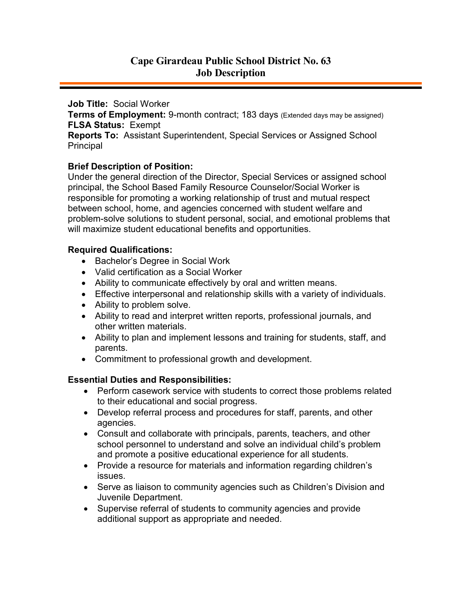# **Cape Girardeau Public School District No. 63 Job Description**

**Job Title:** Social Worker

**Terms of Employment:** 9-month contract; 183 days (Extended days may be assigned) **FLSA Status:** Exempt

**Reports To:** Assistant Superintendent, Special Services or Assigned School Principal

#### **Brief Description of Position:**

Under the general direction of the Director, Special Services or assigned school principal, the School Based Family Resource Counselor/Social Worker is responsible for promoting a working relationship of trust and mutual respect between school, home, and agencies concerned with student welfare and problem-solve solutions to student personal, social, and emotional problems that will maximize student educational benefits and opportunities.

#### **Required Qualifications:**

- Bachelor's Degree in Social Work
- Valid certification as a Social Worker
- Ability to communicate effectively by oral and written means.
- Effective interpersonal and relationship skills with a variety of individuals.
- Ability to problem solve.
- Ability to read and interpret written reports, professional journals, and other written materials.
- Ability to plan and implement lessons and training for students, staff, and parents.
- Commitment to professional growth and development.

### **Essential Duties and Responsibilities:**

- Perform casework service with students to correct those problems related to their educational and social progress.
- Develop referral process and procedures for staff, parents, and other agencies.
- Consult and collaborate with principals, parents, teachers, and other school personnel to understand and solve an individual child's problem and promote a positive educational experience for all students.
- Provide a resource for materials and information regarding children's issues.
- Serve as liaison to community agencies such as Children's Division and Juvenile Department.
- Supervise referral of students to community agencies and provide additional support as appropriate and needed.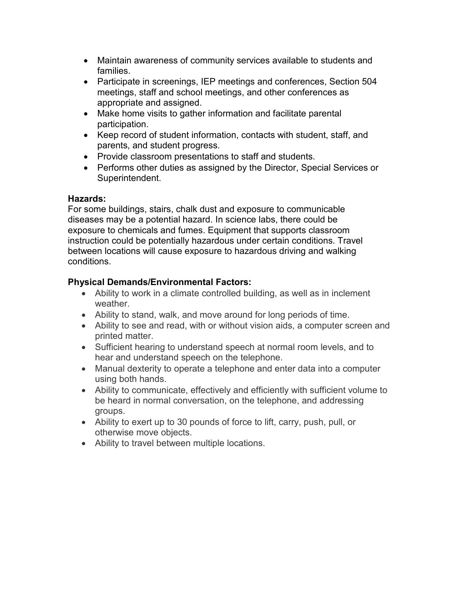- Maintain awareness of community services available to students and families.
- Participate in screenings, IEP meetings and conferences, Section 504 meetings, staff and school meetings, and other conferences as appropriate and assigned.
- Make home visits to gather information and facilitate parental participation.
- Keep record of student information, contacts with student, staff, and parents, and student progress.
- Provide classroom presentations to staff and students.
- Performs other duties as assigned by the Director, Special Services or Superintendent.

### **Hazards:**

For some buildings, stairs, chalk dust and exposure to communicable diseases may be a potential hazard. In science labs, there could be exposure to chemicals and fumes. Equipment that supports classroom instruction could be potentially hazardous under certain conditions. Travel between locations will cause exposure to hazardous driving and walking conditions.

## **Physical Demands/Environmental Factors:**

- Ability to work in a climate controlled building, as well as in inclement weather.
- Ability to stand, walk, and move around for long periods of time.
- Ability to see and read, with or without vision aids, a computer screen and printed matter.
- Sufficient hearing to understand speech at normal room levels, and to hear and understand speech on the telephone.
- Manual dexterity to operate a telephone and enter data into a computer using both hands.
- Ability to communicate, effectively and efficiently with sufficient volume to be heard in normal conversation, on the telephone, and addressing groups.
- Ability to exert up to 30 pounds of force to lift, carry, push, pull, or otherwise move objects.
- Ability to travel between multiple locations.